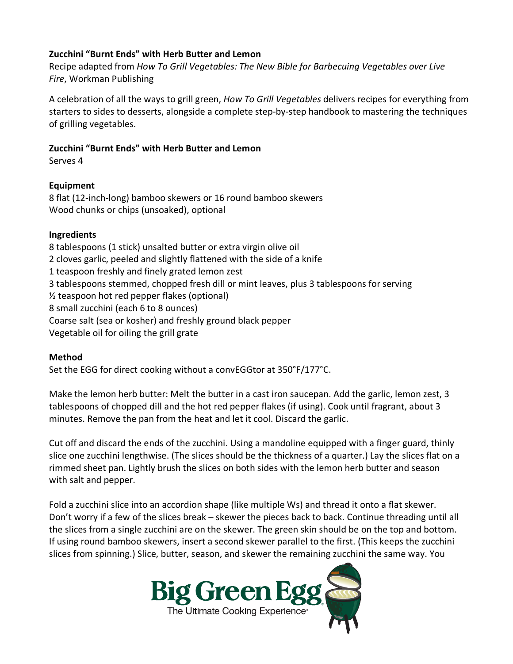### **Zucchini "Burnt Ends" with Herb Butter and Lemon**

Recipe adapted from *How To Grill Vegetables: The New Bible for Barbecuing Vegetables over Live Fire*, Workman Publishing

A celebration of all the ways to grill green, *How To Grill Vegetables* delivers recipes for everything from starters to sides to desserts, alongside a complete step-by-step handbook to mastering the techniques of grilling vegetables.

### **Zucchini "Burnt Ends" with Herb Butter and Lemon**

Serves 4

# **Equipment**

8 flat (12-inch-long) bamboo skewers or 16 round bamboo skewers Wood chunks or chips (unsoaked), optional

# **Ingredients**

8 tablespoons (1 stick) unsalted butter or extra virgin olive oil 2 cloves garlic, peeled and slightly flattened with the side of a knife 1 teaspoon freshly and finely grated lemon zest 3 tablespoons stemmed, chopped fresh dill or mint leaves, plus 3 tablespoons for serving ½ teaspoon hot red pepper flakes (optional) 8 small zucchini (each 6 to 8 ounces) Coarse salt (sea or kosher) and freshly ground black pepper Vegetable oil for oiling the grill grate

# **Method**

Set the EGG for direct cooking without a convEGGtor at 350°F/177°C.

Make the lemon herb butter: Melt the butter in a cast iron saucepan. Add the garlic, lemon zest, 3 tablespoons of chopped dill and the hot red pepper flakes (if using). Cook until fragrant, about 3 minutes. Remove the pan from the heat and let it cool. Discard the garlic.

Cut off and discard the ends of the zucchini. Using a mandoline equipped with a finger guard, thinly slice one zucchini lengthwise. (The slices should be the thickness of a quarter.) Lay the slices flat on a rimmed sheet pan. Lightly brush the slices on both sides with the lemon herb butter and season with salt and pepper.

Fold a zucchini slice into an accordion shape (like multiple Ws) and thread it onto a flat skewer. Don't worry if a few of the slices break – skewer the pieces back to back. Continue threading until all the slices from a single zucchini are on the skewer. The green skin should be on the top and bottom. If using round bamboo skewers, insert a second skewer parallel to the first. (This keeps the zucchini slices from spinning.) Slice, butter, season, and skewer the remaining zucchini the same way. You